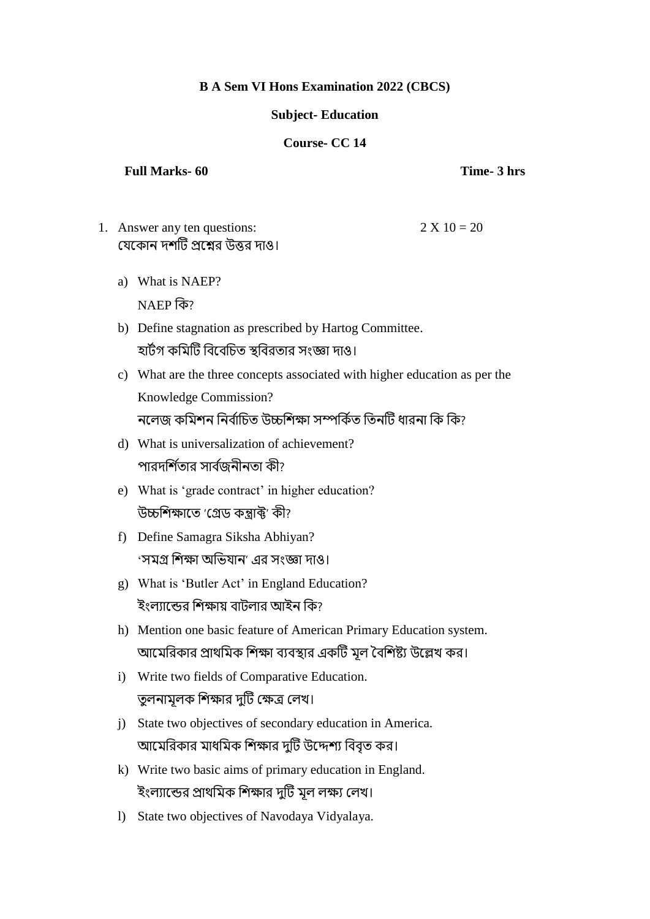## **B A Sem VI Hons Examination 2022 (CBCS)**

## **Subject- Education**

## **Course- CC 14**

## **Full Marks- 60 Time- 3 hrs**

- 1. Answer any ten questions:  $2 \times 10 = 20$ যেকোন দশটি প্রশ্নের উত্তর দাও।
	- a) What is NAEP? NAEP কি?
	- b) Define stagnation as prescribed by Hartog Committee. হোিটগ কিটি কিকিকিত স্থকিরতোর সংজ্ঞো দোও।
	- c) What are the three concepts associated with higher education as per the Knowledge Commission? নলেজ কমিশন নিৰ্বাচিত উচ্চশিক্ষা সম্পৰ্কিত তিনটি ধাৱনা কি কি?
	- d) What is universalization of achievement? পারদর্শিতার সার্বজনীনতা কী?
	- e) What is 'grade contract' in higher education? উচ্চশিক্ষাতে 'গ্ৰেড কৰাক্ট' কী?
	- f) Define Samagra Siksha Abhiyan? 'সমগ্ৰ শিক্ষা অভিযান' এর সংজ্ঞা দাও।
	- g) What is 'Butler Act' in England Education? ইংল্যান্ডের শিক্ষায় বাটলার আইন কি?
	- h) Mention one basic feature of American Primary Education system. আমেরিকার প্রাথমিক শিক্ষা ব্যবস্থার একটি মূল বৈশিষ্ট্য উল্লেখ কর।
	- i) Write two fields of Comparative Education. তলনামলক শিক্ষার দটি ক্ষেত্র লেখ।
	- j) State two objectives of secondary education in America. আমেরিকার মাধমিক শিক্ষার দটি উদ্দেশ্য বিবত কর।
	- k) Write two basic aims of primary education in England. ইংল্যান্ডের প্রাথমিক শিক্ষার দুটি মূল লক্ষ্য লেখ।
	- l) State two objectives of Navodaya Vidyalaya.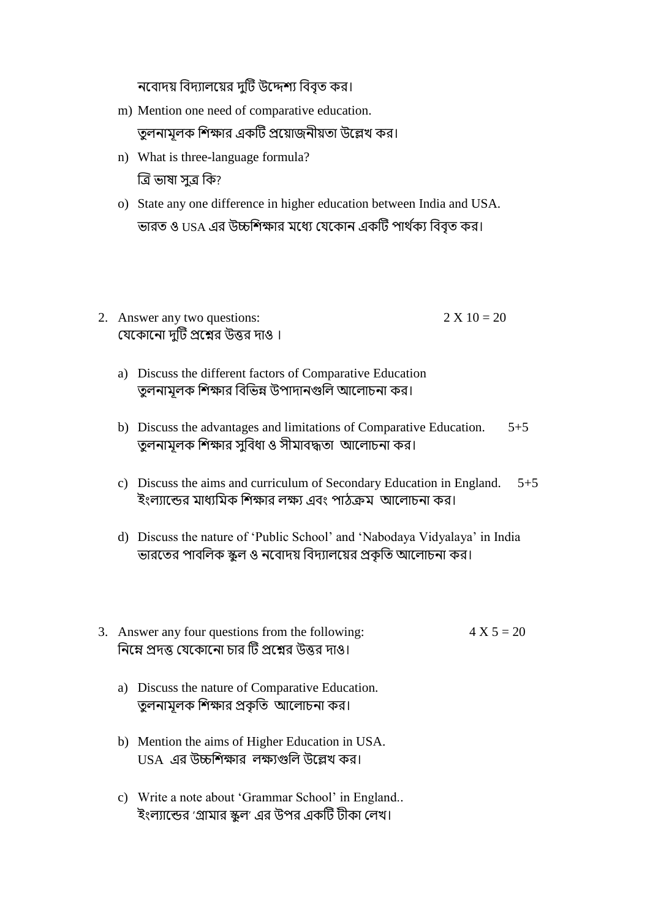নবোদয় বিদ্যালয়ের দুটি উদ্দেশ্য বিবৃত কর।

- m) Mention one need of comparative education. তুলনামূলক শিক্ষার একটি প্রয়োজনীয়তা উল্লেখ কর।
- n) What is three-language formula? ত্রি ভাষা সুত্র কি?
- o) State any one difference in higher education between India and USA. ভারত ও USA এর উচ্চশিক্ষার মধ্যে যেকোন একটি পার্থক্য বিবৃত কর।
- 2. Answer any two questions:  $2 \times 10 = 20$ যেকোনো দুটি প্রশ্নের উত্তর দাও।

- a) Discuss the different factors of Comparative Education তুলনামলক শিক্ষার বিভিন্ন উপাদানগুলি আলোচনা কর।
- b) Discuss the advantages and limitations of Comparative Education. 5+5 তুলনামূলক শিক্ষার সুবিধা ও সীমাবদ্ধতা আলোচনা কর।
- c) Discuss the aims and curriculum of Secondary Education in England. 5+5 ইংল্যান্ডের মাধ্যমিক শিক্ষার লক্ষ্য এবং পাঠক্রম আলোচনা কর।
- d) Discuss the nature of 'Public School' and 'Nabodaya Vidyalaya' in India ভারতের পাবলিক স্কুল ও নবোদয় বিদ্যালয়ের প্রকৃতি আলোচনা কর।
- 3. Answer any four questions from the following:  $4 \times 5 = 20$ নিম্নে প্রদত্ত যেকোনো চার টি প্রশ্নের উত্তর দাও।
	- a) Discuss the nature of Comparative Education. তুলনামূলক শিক্ষার প্রকৃতি আলোচনা কর।
	- b) Mention the aims of Higher Education in USA. USA এর উচ্চকশক্ষোর েক্ষযগুকে উকেখ র।
	- c) Write a note about 'Grammar School' in England.. ইংল্যান্ডের 'গ্রামার স্কুল' এর উপর একটি টীকা লেখ।